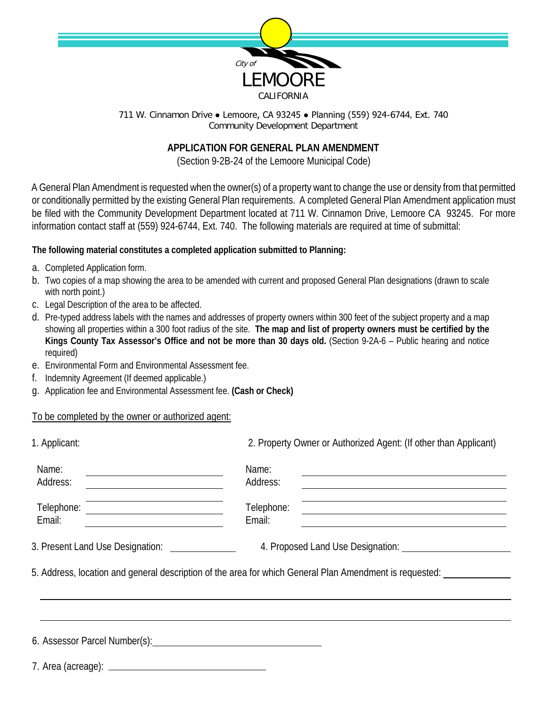

711 W. Cinnamon Drive ● Lemoore, CA 93245 ● Planning (559) 924-6744, Ext. 740 Community Development Department

## **APPLICATION FOR GENERAL PLAN AMENDMENT**

(Section 9-2B-24 of the Lemoore Municipal Code)

A General Plan Amendment is requested when the owner(s) of a property want to change the use or density from that permitted or conditionally permitted by the existing General Plan requirements. A completed General Plan Amendment application must be filed with the Community Development Department located at 711 W. Cinnamon Drive, Lemoore CA 93245. For more information contact staff at (559) 924-6744, Ext. 740. The following materials are required at time of submittal:

## **The following material constitutes a completed application submitted to Planning:**

- a. Completed Application form.
- b. Two copies of a map showing the area to be amended with current and proposed General Plan designations (drawn to scale with north point.)
- c. Legal Description of the area to be affected.
- d. Pre-typed address labels with the names and addresses of property owners within 300 feet of the subject property and a map showing all properties within a 300 foot radius of the site. **The map and list of property owners must be certified by the Kings County Tax Assessor's Office and not be more than 30 days old.** (Section 9-2A-6 – Public hearing and notice required)
- e. Environmental Form and Environmental Assessment fee.
- f. Indemnity Agreement (If deemed applicable.)
- g. Application fee and Environmental Assessment fee. **(Cash or Check)**

## To be completed by the owner or authorized agent:

| 1. Applicant:                                                                                                                   | 2. Property Owner or Authorized Agent: (If other than Applicant)                                                                      |  |  |
|---------------------------------------------------------------------------------------------------------------------------------|---------------------------------------------------------------------------------------------------------------------------------------|--|--|
| Name:<br>Address:<br><u> Alexandria de la conte</u>                                                                             | Name:<br>and the control of the control of the control of the control of the control of the control of the control of the<br>Address: |  |  |
| <u> 1980 - Johann Barn, mars ann an t-Amhain Aonaichte ann an t-Amhain Aonaichte ann an t-Amhain Aonaichte ann an</u><br>Email: | Telephone:<br>Email:                                                                                                                  |  |  |
| 3. Present Land Use Designation: _______________                                                                                |                                                                                                                                       |  |  |
|                                                                                                                                 | 5. Address, location and general description of the area for which General Plan Amendment is requested:                               |  |  |
|                                                                                                                                 |                                                                                                                                       |  |  |
|                                                                                                                                 |                                                                                                                                       |  |  |
|                                                                                                                                 |                                                                                                                                       |  |  |